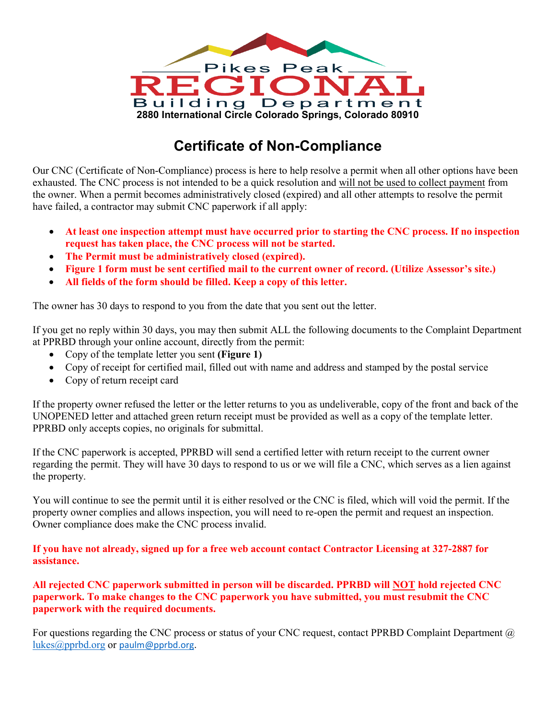

## **Certificate of Non-Compliance**

Our CNC (Certificate of Non-Compliance) process is here to help resolve a permit when all other options have been exhausted. The CNC process is not intended to be a quick resolution and will not be used to collect payment from the owner. When a permit becomes administratively closed (expired) and all other attempts to resolve the permit have failed, a contractor may submit CNC paperwork if all apply:

- **At least one inspection attempt must have occurred prior to starting the CNC process. If no inspection request has taken place, the CNC process will not be started.**
- **The Permit must be administratively closed (expired).**
- **Figure 1 form must be sent certified mail to the current owner of record. (Utilize Assessor's site.)**
- **All fields of the form should be filled. Keep a copy of this letter.**

The owner has 30 days to respond to you from the date that you sent out the letter.

If you get no reply within 30 days, you may then submit ALL the following documents to the Complaint Department at PPRBD through your online account, directly from the permit:

- Copy of the template letter you sent **(Figure 1)**
- Copy of receipt for certified mail, filled out with name and address and stamped by the postal service
- Copy of return receipt card

If the property owner refused the letter or the letter returns to you as undeliverable, copy of the front and back of the UNOPENED letter and attached green return receipt must be provided as well as a copy of the template letter. PPRBD only accepts copies, no originals for submittal.

If the CNC paperwork is accepted, PPRBD will send a certified letter with return receipt to the current owner regarding the permit. They will have 30 days to respond to us or we will file a CNC, which serves as a lien against the property.

You will continue to see the permit until it is either resolved or the CNC is filed, which will void the permit. If the property owner complies and allows inspection, you will need to re-open the permit and request an inspection. Owner compliance does make the CNC process invalid.

**If you have not already, signed up for a free web account contact Contractor Licensing at 327-2887 for assistance.** 

**All rejected CNC paperwork submitted in person will be discarded. PPRBD will NOT hold rejected CNC paperwork. To make changes to the CNC paperwork you have submitted, you must resubmit the CNC paperwork with the required documents.** 

For questions regarding the CNC process or status of your CNC request, contact PPRBD Complaint Department @ [lukes@pprbd.org](mailto:lukes@pprbd.org) or [paulm@pprbd.org.](mailto:paulm@pprbd.org)